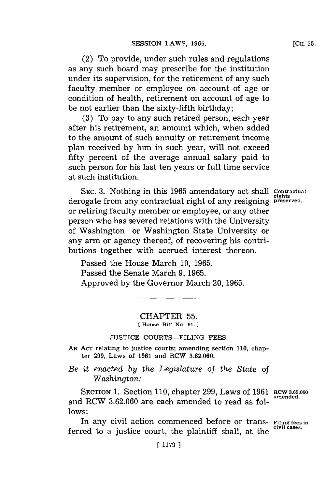(2) To provide, under such rules and regulations as any such board may prescribe for the institution under its supervision, **for** the retirement of any such faculty member or employee on account of age or condition of health, retirement on account of age to be not earlier than the sixty-fifth birthday;

**(3)** To pay to any such retired person, each year after his retirement, an amount which, when added to the amount of such annuity or retirement income plan received **by** him in such year, will not exceed fifty percent of the average annual salary paid to such person for his last ten years or full time service at such institution.

SEC. **3.** Nothing in this **1965** amendatory act shall **contractual** rights derogate from any contractual right of any resigning **preserved.** or retiring faculty member or employee, or any other person who has severed relations with the University of Washington or Washington State University or any arm or agency thereof, of recovering his contributions together with accrued interest thereon.

Passed the House March **10, 1965.** Passed the Senate March **9, 1965.** Approved **by** the Governor March 20, **1965.**

> CHAPTER **55. IHouse Bill No. 91. ]**

**JUSTICE** COURTS-FILING **FEES.**

**AN ACT** relating to justice courts; amending section **110,** chapter **299,** Laws of **1961** and RCW **3.62.060.**

*Be it enacted by the Legislature of the State of Washington:*

**SECTION 1. Section 110, chapter 299, Laws of 1961 RCW 3.62.060** and RCW 3.62.060 are each amended to read as fol**lows:**

In any civil action commenced before or trans- **Filing fees in** ferred to a justice court, the plaintiff shall, at the